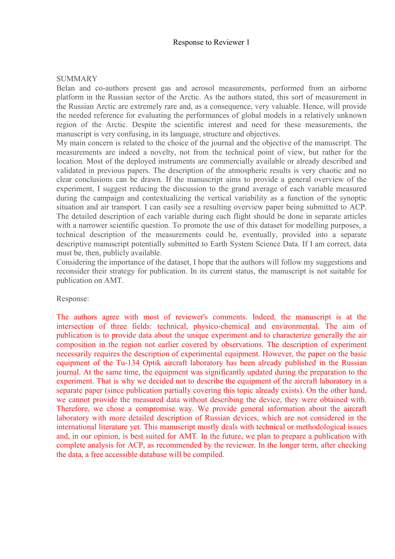## Response to Reviewer 1

## **SUMMARY**

Belan and co-authors present gas and aerosol measurements, performed from an airborne platform in the Russian sector of the Arctic. As the authors stated, this sort of measurement in the Russian Arctic are extremely rare and, as a consequence, very valuable. Hence, will provide the needed reference for evaluating the performances of global models in a relatively unknown region of the Arctic. Despite the scientific interest and need for these measurements, the manuscript is very confusing, in its language, structure and objectives.

My main concern is related to the choice of the journal and the objective of the manuscript. The measurements are indeed a novelty, not from the technical point of view, but rather for the location. Most of the deployed instruments are commercially available or already described and validated in previous papers. The description of the atmospheric results is very chaotic and no clear conclusions can be drawn. If the manuscript aims to provide a general overview of the experiment, I suggest reducing the discussion to the grand average of each variable measured during the campaign and contextualizing the vertical variability as a function of the synoptic situation and air transport. I can easily see a resulting overview paper being submitted to ACP. The detailed description of each variable during each flight should be done in separate articles with a narrower scientific question. To promote the use of this dataset for modelling purposes, a technical description of the measurements could be, eventually, provided into a separate descriptive manuscript potentially submitted to Earth System Science Data. If I am correct, data must be, then, publicly available.

Considering the importance of the dataset, I hope that the authors will follow my suggestions and reconsider their strategy for publication. In its current status, the manuscript is not suitable for publication on AMT.

## Response:

The authors agree with most of reviewer's comments. Indeed, the manuscript is at the intersection of three fields: technical, physico-chemical and environmental. The aim of publication is to provide data about the unique experiment and to characterize generally the air composition in the region not earlier covered by observations. The description of experiment necessarily requires the description of experimental equipment. However, the paper on the basic equipment of the Tu-134 Optik aircraft laboratory has been already published in the Russian journal. At the same time, the equipment was significantly updated during the preparation to the experiment. That is why we decided not to describe the equipment of the aircraft laboratory in a separate paper (since publication partially covering this topic already exists). On the other hand, we cannot provide the measured data without describing the device, they were obtained with. Therefore, we chose a compromise way. We provide general information about the aircraft laboratory with more detailed description of Russian devices, which are not considered in the international literature yet. This manuscript mostly deals with technical or methodological issues and, in our opinion, is best suited for AMT. In the future, we plan to prepare a publication with complete analysis for ACP, as recommended by the reviewer. In the longer term, after checking the data, a free accessible database will be compiled.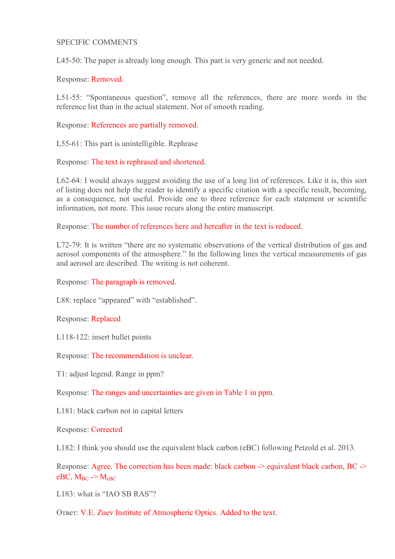## SPECIFIC COMMENTS

L45-50: The paper is already long enough. This part is very generic and not needed.

Response: Removed.

L51-55: "Spontaneous question", remove all the references, there are more words in the reference list than in the actual statement. Not of smooth reading.

Response: References are partially removed.

L55-61: This part is unintelligible. Rephrase

Response: The text is rephrased and shortened.

L62-64: I would always suggest avoiding the use of a long list of references. Like it is, this sort of listing does not help the reader to identify a specific citation with a specific result, becoming, as a consequence, not useful. Provide one to three reference for each statement or scientific information, not more. This issue recurs along the entire manuscript.

Response: The number of references here and hereafter in the text is reduced.

L72-79: It is written "there are no systematic observations of the vertical distribution of gas and aerosol components of the atmosphere." In the following lines the vertical measurements of gas and aerosol are described. The writing is not coherent.

Response: The paragraph is removed.

L88: replace "appeared" with "established".

Response: Replaced

L118-122: insert bullet points

Response: The recommendation is unclear.

T1: adjust legend. Range in ppm?

Response: The ranges and uncertainties are given in Table 1 in ppm.

L181: black carbon not in capital letters

Response: Corrected

L182: I think you should use the equivalent black carbon (eBC) following Petzold et al. 2013.

Response: Agree. The correction has been made: black carbon -> equivalent black carbon, BC -> eBC,  $M_{BC}$  ->  $M_{eBC}$ 

L183: what is "IAO SB RAS"?

Ответ: V.E. Zuev Institute of Atmospheric Optics. Added to the text.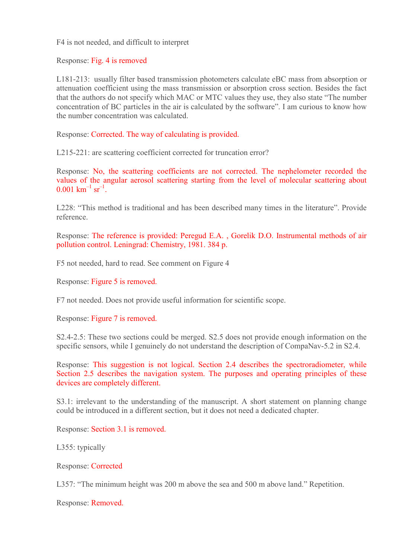F4 is not needed, and difficult to interpret

Response: Fig. 4 is removed

L181-213: usually filter based transmission photometers calculate eBC mass from absorption or attenuation coefficient using the mass transmission or absorption cross section. Besides the fact that the authors do not specify which MAC or MTC values they use, they also state "The number concentration of BC particles in the air is calculated by the software". I am curious to know how the number concentration was calculated.

Response: Corrected. The way of calculating is provided.

L215-221: are scattering coefficient corrected for truncation error?

Response: No, the scattering coefficients are not corrected. The nephelometer recorded the values of the angular aerosol scattering starting from the level of molecular scattering about  $0.001 \text{ km}^{-1} \text{ sr}^{-1}$ .

L228: "This method is traditional and has been described many times in the literature". Provide reference.

Response: The reference is provided: Peregud E.A. , Gorelik D.O. Instrumental methods of air pollution control. Leningrad: Chemistry, 1981. 384 p.

F5 not needed, hard to read. See comment on Figure 4

Response: Figure 5 is removed.

F7 not needed. Does not provide useful information for scientific scope.

Response: Figure 7 is removed.

S2.4-2.5: These two sections could be merged. S2.5 does not provide enough information on the specific sensors, while I genuinely do not understand the description of CompaNav-5.2 in S2.4.

Response: This suggestion is not logical. Section 2.4 describes the spectroradiometer, while Section 2.5 describes the navigation system. The purposes and operating principles of these devices are completely different.

S3.1: irrelevant to the understanding of the manuscript. A short statement on planning change could be introduced in a different section, but it does not need a dedicated chapter.

Response: Section 3.1 is removed.

L355: typically

Response: Corrected

L357: "The minimum height was 200 m above the sea and 500 m above land." Repetition.

Response: Removed.